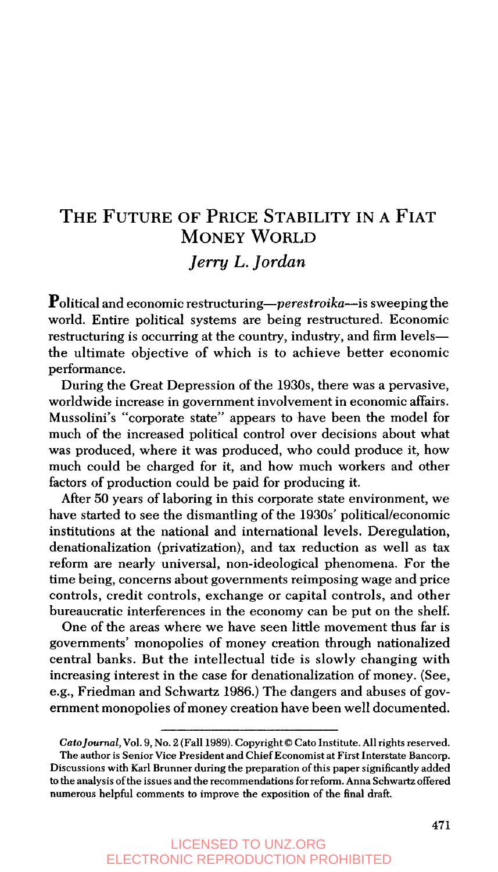# **THE FUTURE OF PRICE STABILITY IN A FIAT**  *Jerry L. Jordan*  **MONEY WORLD**

Political and economic restructuring-perestroika-is sweeping the world. Entire political systems are being restructured. Economic restructuring is occurring at the country, industry, and firm levelsthe ultimate objective of which is to achieve better economic performance.

During the Great Depression of the **1930s,** there was a pervasive, worldwide increase in government involvement in economic affairs. Mussolini's "corporate state" appears to have been the model for much of the increased political control over decisions about what was produced, where it was produced, who could produce it, how much could be charged for it, and how much workers and other factors of production could be paid for producing it.

After 50 years of laboring in this corporate state environment, we have started to see the dismantling of the 1930s' political/economic institutions at the national and international levels. Deregulation, denationalization (privatization), and **tax** reduction as well as tax reform are nearly universal, non-ideological phenomena. For the time being, concerns about governments reimposing wage and price controls, credit controls, exchange or capital controls, and other bureaucratic interferences in the economy can be put on the shelf.

One of the areas where we have seen little movement thus far is governments' monopolies of money creation through nationalized central banks. But the intellectual tide is slowly changing with increasing interest in the case for denationalization of money. (See, e.g., Friedman and Schwartz **1986.)** The dangers and abuses of government monopolies of money creation have been well documented.

**Coto]ournal, Vol. 9, No. 2 (Fall 1989). Copyright** *0* **Cat0 Institute. All rights reserved.** 

**The author is Senior Vice President and Chief Economist at First Interstate Bancorp. Discussions with Karl Brunner during the preparation of this paper significantly added to the analysis ofthe issues and the recommendations for reform. Anna Schwartz offered numerous helpful comments to improve the exposition of the final draft.**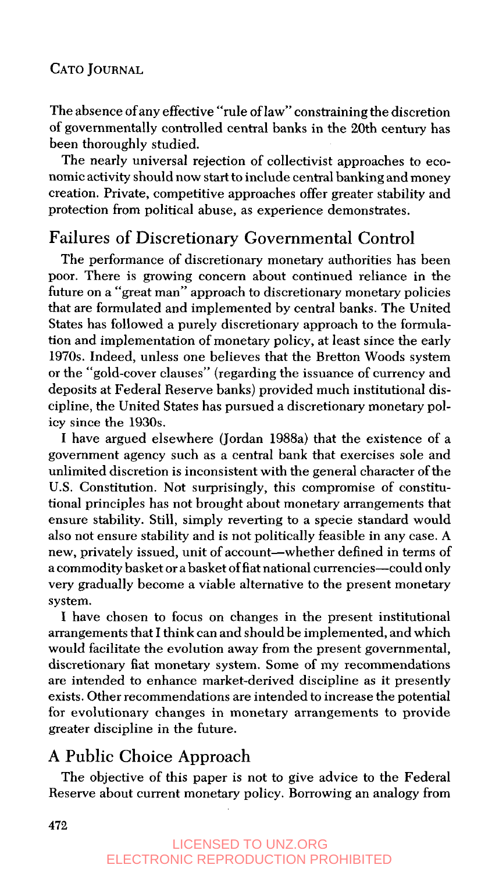The absence ofany effective "rule of law" constraining the discretion of governmentally controlled central banks in the 20th century has been thoroughly studied.

The nearly universal rejection of collectivist approaches to economic activity should now start to include central banking and money creation. Private, competitive approaches offer greater stability and protection from political abuse, as experience demonstrates.

## Failures of Discretionary Governmental Control

The performance of discretionary monetary authorities has been poor. There is growing concern about continued reliance in the future on a "great man" approach to discretionary monetary policies that are formulated and implemented by central banks. The United States has followed a purely discretionary approach to the formulation and implementation of monetary policy, at least since the early **1970s.** Indeed, unless one believes that the Bretton Woods system or the "gold-cover clauses" (regarding the issuance of currency and deposits at Federal Reserve banks) provided much institutional discipline, the United States has pursued a discretionary monetary policy since the **1930s.** 

I have argued elsewhere (Jordan 1988a) that the existence of a government agency such as a central bank that exercises sole and unlimited discretion is inconsistent with the general character of the U.S. Constitution. Not surprisingly, this compromise of constitutional principles has not brought about monetary arrangements that ensure stability. Still, simply reverting to a specie standard would **also** not ensure stability and is not politically feasible in any case. **A**  new, privately issued, unit of account-whether defined in terms of a commodity basket or a basket of fiat national currencies-could only very gradually become a viable alternative to the present monetary system.

**I** have chosen to focus on changes in the present institutional arrangements that I think can and should be implemented, and which would facilitate the evolution away from the present governmental, discretionary fiat monetary system. Some of **my** recommendations are intended to enhance market-derived discipline as it presently exists. Other recommendations are intended to increase the potential for evolutionary changes in monetary arrangements to provide greater discipline in the future.

## A **Public** Choice Approach

The objective of this paper is not to give advice to the Federal Reserve about current monetary policy. Borrowing an analogy from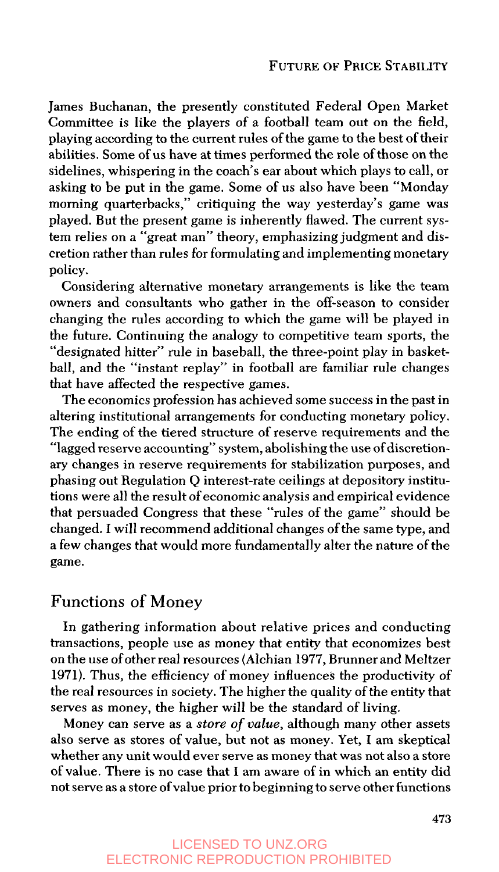James Buchanan, the presently constituted Federal Open Market Committee is like the players of a football team out on the field, playing according to the current rules of the game to the best of their abilities. Some of **us** have at times performed the role of those on the sidelines, whispering in the coach's ear about which plays to call, or asking to be put in the game. Some of **us** also have been "Monday morning quarterbacks," critiquing the way yesterday's game was played. But the present game **is** inherently flawed. The current system relies on a "great man" theory, emphasizing judgment and discretion rather than rules for formulating and implementing monetary policy.

Considering alternative monetary arrangements is like the team owners and consultants who gather in the off-season to consider changing the rules according to which the game will be played in the future. Continuing the analogy to competitive team sports, the "designated hitter" rule in baseball, the three-point play in basketball, and the "instant replay" in football are familiar rule changes that have affected the respective games.

The economics profession has achieved some success in the past in altering institutional arrangements for conducting monetary policy. The ending of the tiered structure of reserve requirements and the "lagged reserve accounting" system, abolishing the use of discretionary changes in reserve requirements for stabilization purposes, and phasing out Regulation Q interest-rate ceilings at depository institutions were all the result of economic analysis and empirical evidence that persuaded Congress that these "rules of the game" should be changed. I will recommend additional changes of the same type, and a few changes that would more fundamentally alter the nature of the game.

## **Functions** of **Money**

In gathering information about relative prices and conducting transactions, people use as money that entity that economizes best on the use ofother real resources (Alchian **1977,** Brunner and Meltzer **1971).** Thus, the efficiency of money influences the productivity of the real resources in society. The higher the quality of the entity that serves as money, the higher will be the standard of living.

Money can serve as a *store* of *value,* although many other assets also serve as stores of value, but not as money. Yet, **I** am skeptical whether any unit would ever serve **as** money that was not also a store of value. There is no case that **I** am aware of in which an entity did not serve as a store **of** value prior to beginning to serve other functions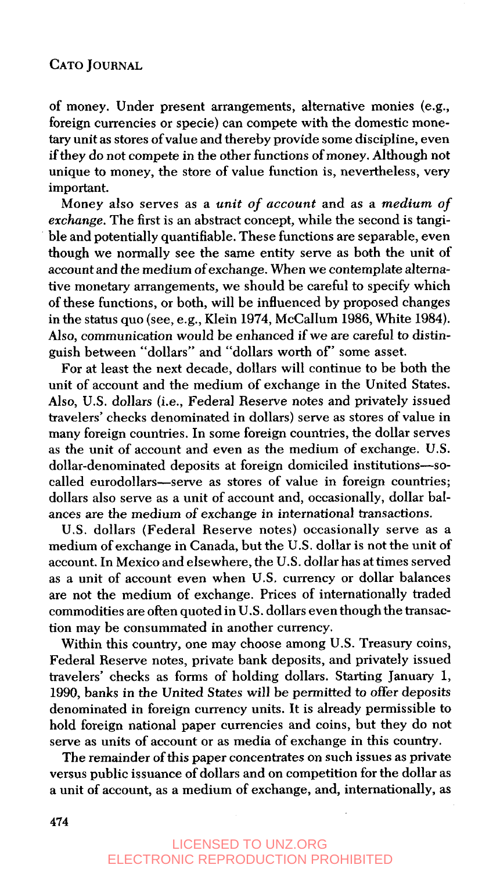of money. Under present arrangements, alternative monies (e.g., foreign currencies or specie) can compete with the domestic monetary unit as stores of value and thereby provide some discipline, even if they do not compete in the other functions of money. Although not unique to money, the store of value function is, nevertheless, very important.

Money also serves as a *unit* of *account* and as a *medium* of *exchange.* The first is an abstract concept, while the second is tangible and potentially quantifiable. These functions are separable, even though we normally see the same entity serve as both the unit of account and the medium of exchange. When we contemplate alternative monetary arrangements, we should be careful to specify which of these functions, or both, will be influenced by proposed changes in the status quo (see, e.g., Klein **1974,** McCallum **1986,** White **1984).**  Also, communication would be enhanced if we are careful to distinguish between "dollars" and "dollars worth of' some asset.

For at least the next decade, dollars will continue to be both the unit of account and the medium of exchange in the United States. Also, U.S. dollars (i.e., Federal Reserve notes and privately issued travelers' checks denominated in dollars) serve as stores of value in many foreign countries. In some foreign countries, the dollar serves as the unit of account and even as the medium of exchange. U.S. dollar-denominated deposits at foreign domiciled institutions-socalled eurodollars-serve as stores of value in foreign countries; dollars also serve as a unit of account and, occasionally, dollar balances are the medium of exchange in international transactions.

U.S. dollars (Federal Reserve notes) occasionally serve as a medium of exchange in Canada, but the U.S. dollar is not the unit of account. In Mexico and elsewhere, the U.S. dollar has at times served **as** a unit of account even when U.S. currency or dollar balances are not the medium of exchange. Prices of internationally traded commodities are often quoted in U.S. dollars even though the transaction may be consummated in another currency.

Within this country, one may choose among U.S. Treasury coins, Federal Reserve notes, private bank deposits, and privately issued travelers' checks as forms of holding dollars. Starting January **1, 1990,** banks in the United States will be permitted to offer deposits denominated in foreign currency units. It is already permissible to hold foreign national paper currencies and coins, but they do not serve as units of account or as media of exchange in this country.

The remainder of this paper concentrates on such issues **as** private versus public issuance of dollars and on competition for the dollar as a unit of account, as a medium of exchange, and, internationally, as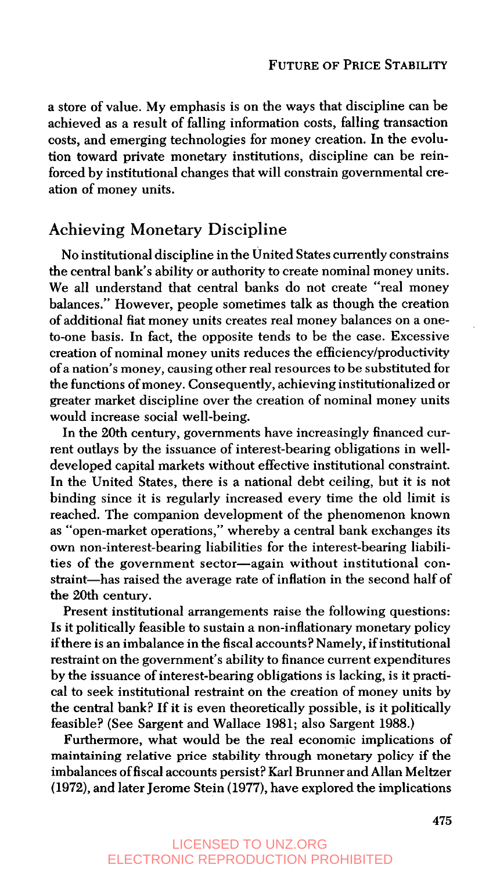a store of value. My emphasis is on the ways that discipline can be achieved as a result of falling information costs, falling transaction costs, and emerging technologies for money creation. In the evolution toward private monetary institutions, discipline can be reinforced by institutional changes that will constrain governmental creation of money units.

## Achieving Monetary Discipline

No institutional discipline in the United States currently constrains the central bank's ability or authority to create nominal money units. We all understand that central banks do not create "real money balances." However, people sometimes talk as though the creation of additional fiat money units creates real money balances on a oneto-one basis. In fact, the opposite tends to be the case. Excessive creation of nominal money units reduces the efficiencylproductivity of a nation's money, causing other real resources to be substituted for the functions of money. Consequently, achieving institutionalized or greater market discipline over the creation of nominal money units would increase social well-being.

In the 20th century, governments have increasingly financed current outlays by the issuance of interest-bearing obligations in welldeveloped capital markets without effective institutional constraint. In the United States, there is a national debt ceiling, but it is not binding since it is regularly increased every time the old limit is reached. The companion development of the phenomenon known as "open-market operations," whereby a central bank exchanges its own non-interest-bearing liabilities for the interest-bearing liabilities of the government sector-again without institutional constraint-has raised the average rate of inflation in the second half of the 20th century.

Present institutional arrangements raise the following questions: Is it politically feasible to sustain a non-inflationary monetary policy ifthere is an imbalance in the fiscal accounts? Namely, ifinstitutional restraint on the government's ability to finance current expenditures by the issuance of interest-bearing obligations is lacking, is it practical to seek institutional restraint on the creation of money units by the central bank? If it is even theoretically possible, is it politically feasible? (See Sargent and Wallace **1981;** also Sargent **1988.)** 

Furthermore, what would be the real economic implications of maintaining relative price stability through monetary policy if the imbalances of fiscal accounts persist? Karl Brunner and Allan Meltzer **(1972),** and later Jerome Stein **(1977),** have explored the implications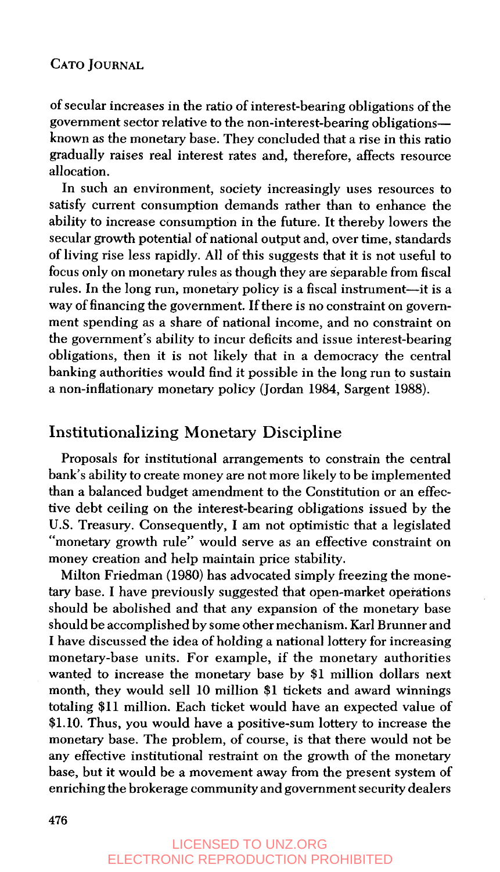of secular increases in the ratio of interest-bearing obligations of the government sector relative to the non-interest-bearing obligationsknown as the monetary base. They concluded that a rise in this ratio gradually raises real interest rates and, therefore, affects resource allocation.

In such an environment, society increasingly uses resources to satisfy current consumption demands rather than to enhance the ability to increase consumption in the future. It thereby lowers the secular growth potential of national output and, over time, standards of living rise less rapidly. All of this suggests that it is not useful to focus only on monetary rules as though they are separable from fiscal rules. In the long run, monetary policy is a fiscal instrument-it is a way of financing the government. If there is no constraint on government spending as a share of national income, and no constraint on the government's ability to incur deficits and issue interest-bearing obligations, then it is not likely that in a democracy the central banking authorities would find it possible in the long run to sustain a non-inflationary monetary policy (Jordan **1984,** Sargent **1988).** 

## Institutionalizing Monetary Discipline

Proposals for institutional arrangements to constrain the central bank's ability to create money are not more likely to be implemented than a balanced budget amendment to the Constitution or an effective debt ceiling on the interest-bearing obligations issued by the U.S. Treasury. Consequently, I am not optimistic that a legislated "monetary growth rule" would serve as an effective constraint on money creation and help maintain price stability.

Milton Friedman **(1980)** has advocated simply freezing the monetary base. I have previously suggested that open-market operations should be abolished and that any expansion of the monetary base should be accomplished by some other mechanism. Karl Brunner and I have discussed the idea of holding a national lottery for increasing monetary-base units. For example, if the monetary authorities wanted to increase the monetary base by **\$1** million dollars next month, they would sell **10** million **\$1** tickets and award winnings totaling **\$11** million. Each ticket would have an expected value of **\$1.10.** Thus, you would have a positive-sum lottery to increase the monetary base. The problem, of course, is that there would not be any effective institutional restraint on the growth of the monetary base, but it would be a movement away from the present system of enriching the brokerage community and government security dealers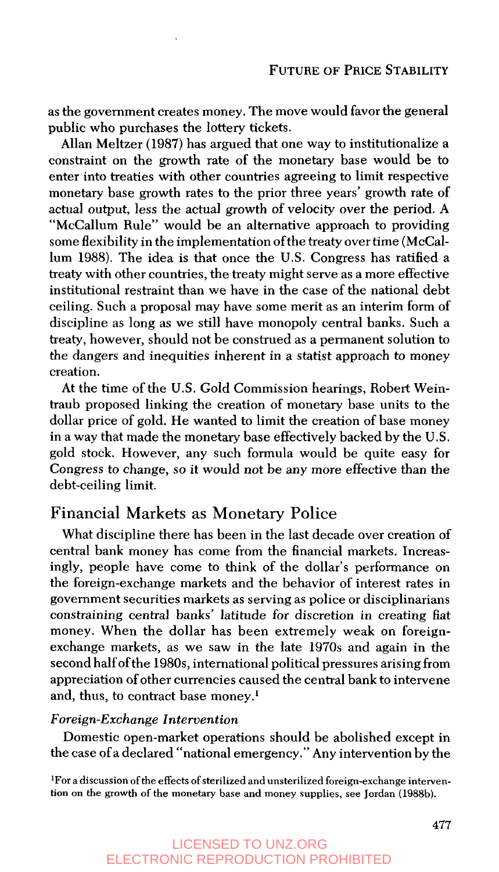as the government creates money. The move would favor the general public who purchases the lottery tickets.

Allan Meltzer **(1987)** has argued that one way to institutionalize a constraint on the growth rate of the monetary base would be to enter into treaties with other countries agreeing to limit respective monetary base growth rates to the prior three years' growth rate of actual output, less the actual growth of velocity over the period. A "McCallum Rule" would be an alternative approach to providing some flexibility in the implementation of the treaty over time (McCallum **1988).** The idea is that once the **U.S.** Congress has ratified a treaty with other countries, the treaty might serve as a more effective institutional restraint than we have in the case of the national debt ceiling. Such a proposal may have some merit as an interim form of discipline as long as we still have monopoly central banks. Such a treaty, however, should not be construed as a permanent solution to the dangers and inequities inherent in a statist approach to money creation.

At the time of the **US.** Gold Commission hearings, Robert Weintraub proposed linking the creation of monetary base units to the dollar price of gold. He wanted to limit the creation of base money in a way that made the monetary base effectively backed by the **U.S.**  gold stock. However, any such formula would be quite easy for Congress to change, so it would not be any more effective than the debt-ceiling limit.

## **Financial Markets as Monetary Police**

What discipline there has been in the last decade over creation of central bank money has come from the financial markets. Increasingly, people have come to think of the dollar's performance on the foreign-exchange markets and the behavior of interest rates in government securities markets as serving as police or disciplinarians constraining central banks' latitude for discretion in creating fiat money. When the dollar has been extremely weak on foreignexchange markets, as we saw in the late 1970s and again in the second half of the **1980s,** international political pressures arising from appreciation of other currencies caused the central bank to intervene and, thus, to contract base money.'

#### *Foreign-Exchange lntervention*

Domestic open-market operations should be abolished except in the case of a declared "national emergency." Any intervention by the

**'For a discussion of the effects of sterilized and unsterilized foreign-exchange intervention on the growth of the monetary base and money supplies, see Jordan (1988b).**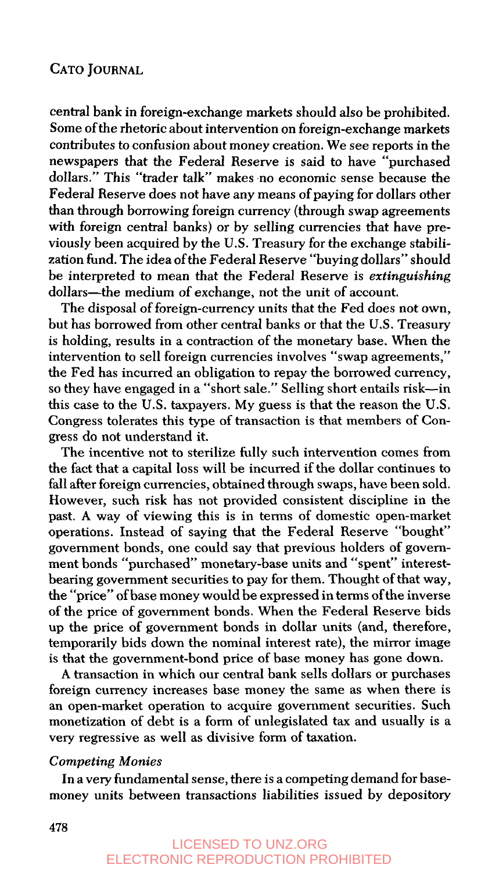central bank in foreign-exchange markets should also be prohibited. Some of the rhetoric about intervention on foreign-exchange markets contributes to confusion about money creation. We see reports in the newspapers that the Federal Reserve is said to have "purchased dollars." This "trader talk" makes no economic sense because the Federal Reserve does not have any means of paying for dollars other than through borrowing foreign currency (through swap agreements with foreign central banks) or by selling currencies that have previously been acquired by the U.S. Treasury for the exchange stabilization fund. The idea of the Federal Reserve "buying dollars" should be interpreted to mean that the Federal Reserve is *extinguishing*  dollars-the medium of exchange, not the unit of account.

The disposal of foreign-currency units that the Fed does not own, but has borrowed from other central banks or that the U.S. Treasury is holding, results in a contraction of the monetary base. When the intervention to sell foreign currencies involves "swap agreements," the Fed has incurred an obligation to repay the borrowed currency, so they have engaged in a "short sale." Selling short entails risk-in this case to the U.S. taxpayers. My guess is that the reason the U.S. Congress tolerates this type of transaction is that members of Congress do not understand it.

The incentive not to sterilize fully such intervention comes from the fact that a capital loss will be incurred if the dollar continues to fall after foreign currencies, obtained through swaps, have been sold. However, such risk has not provided consistent discipline in the past. A way of viewing this is in terms of domestic open-market operations. Instead of saying that the Federal Reserve "bought" government bonds, one could say that previous holders of government bonds "purchased" monetary-base units and "spent" interestbearing government securities to pay for them. Thought of that way, the "price" of base money would be expressed in terms of the inverse of the price of government bonds. When the Federal Reserve bids up the price of government bonds in dollar units (and, therefore, temporarily bids down the nominal interest rate), the mirror image is that the government-bond price of base money has gone down.

A transaction in which our central bank sells dollars or purchases foreign currency increases base money the same as when there is an open-market operation to acquire government securities. Such monetization of debt is a form of unlegislated tax and usually is a very regressive as well as divisive form of taxation.

#### *Competing Monies*

In a very fundamental sense, there is a competing demand for basemoney units between transactions liabilities issued by depository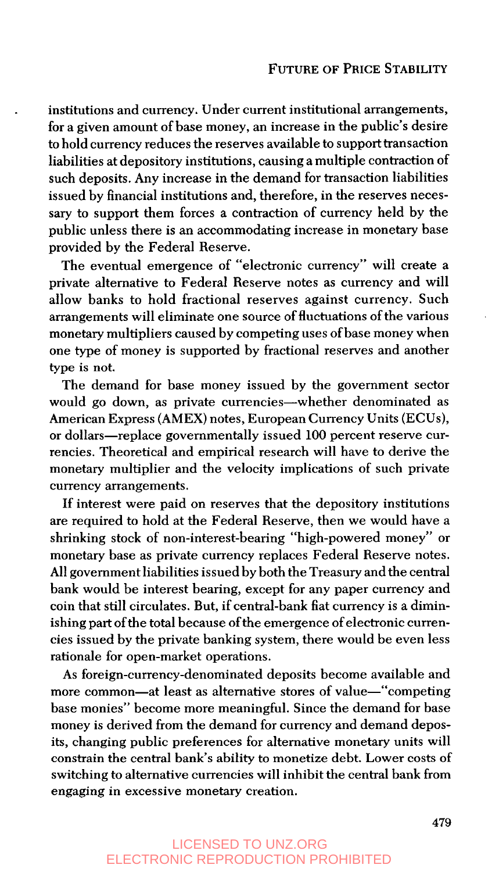. institutions and currency. Under current institutional arrangements, for a given amount of base money, an increase in the public's desire to hold currency reduces the reserves available to support transaction liabilities at depository institutions, causing a multiple contraction of such deposits. Any increase in the demand for transaction liabilities issued by financial institutions and, therefore, in the reserves necessary to support them forces a contraction of currency held by the public unless there is an accommodating increase in monetary base provided by the Federal Reserve.

The eventual emergence of "electronic currency" will create a private alternative to Federal Reserve notes as currency and will allow banks to hold fractional reserves against currency. Such arrangements will eliminate one source of fluctuations of the various monetary multipliers caused by competing uses of base money when one type of money is supported by fractional reserves and another type is not.

The demand for base money issued by the government sector would go down, as private currencies-whether denominated as American Express (AMEX) notes, European Currency Units (ECUs), or dollars-replace governmentally issued 100 percent reserve currencies. Theoretical and empirical research will have to derive the monetary multiplier and the velocity implications of such private currency arrangements.

If interest were paid on reserves that the depository institutions are required to hold at the Federal Reserve, then we would have a shrinking stock of non-interest-bearing "high-powered money" or monetary base as private currency replaces Federal Reserve notes. All government liabilities issued by both the Treasury and the central bank would be interest bearing, except for any paper currency and coin that still circulates. But, if central-bank fiat currency is a diminishing part of the total because of the emergence of electronic currencies issued by the private banking system, there would be even less rationale for open-market operations.

As foreign-currency-denominated deposits become available and more common-at least as alternative stores of value-"competing base monies" become more meaningful. Since the demand for base money is derived from the demand for currency and demand deposits, changing public preferences for alternative monetary units will constrain the central bank's ability to monetize debt. Lower costs of switching to alternative currencies will inhibit the central bank from engaging in excessive monetary creation.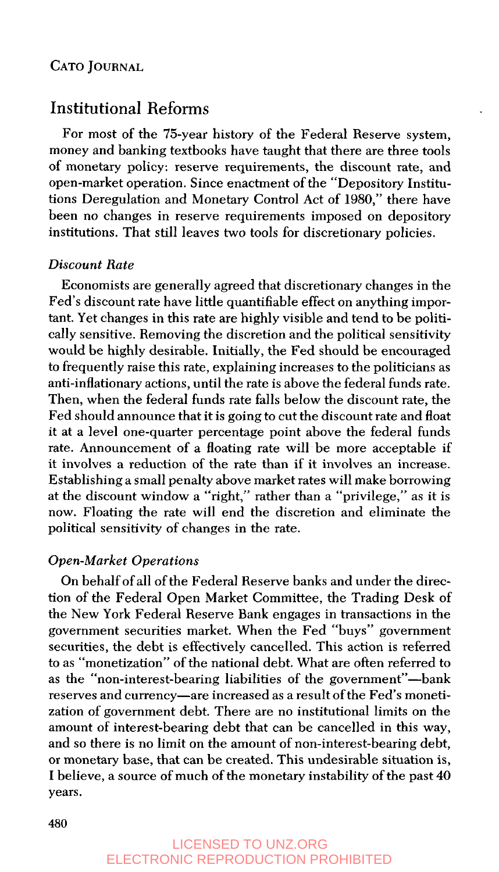## Institutional Reforms

For most of the 75-year history of the Federal Reserve system, money and banking textbooks have taught that there are three tools of monetary policy: reserve requirements, the discount rate, and open-market operation. Since enactment of the "Depository Institutions Deregulation and Monetary Control Act of **1980,"** there have been no changes in reserve requirements imposed on depository institutions. That still leaves two tools for discretionary policies.

### *Discount Hate*

Economists are generally agreed that discretionary changes in the Fed's discount rate have little quantifiable effect on anything important. Yet changes in this rate are highly visible and tend to be politically sensitive. Removing the discretion and the political sensitivity would be highly desirable. Initially, the Fed should be encouraged to frequently raise this rate, explaining increases to the politicians as anti-inflationary actions, until the rate is above the federal funds rate. Then, when the federal funds rate falls below the discount rate, the Fed should announce that it is going to cut the discount rate and float it at a level one-quarter percentage point above the federal funds rate. Announcement of a floating rate will be more acceptable if it involves a reduction of the rate than if it involves an increase. Establishing a small penalty above market rates will make borrowing at the discount window a "right," rather than a "privilege," as it is now. Floating the rate will end the discretion and eliminate the political sensitivity of changes in the rate.

### *Open-Market Operations*

On behalf of all of the Federal Reserve banks and under the direction of the Federal Open Market Committee, the Trading Desk of the New York Federal Reserve Bank engages in transactions in the government securities market. When the Fed "buys" government securities, the debt is effectively cancelled. This action is referred to as "monetization" of the national debt. What are often referred to as the "non-interest-bearing liabilities of the government"-bank reserves and currency-are increased as a result of the Fed's monetization of government debt. There are no institutional limits on the amount of interest-bearing debt that can be cancelled in this way, and *so* there is no limit on the amount of non-interest-bearing debt, or monetary base, that can be created. This undesirable situation is, **I** believe, a source of much of the monetary instability of the past **40**  years.

## LICENSED TO UNZ.ORG ELECTRONIC REPRODUCTION PROHIBITED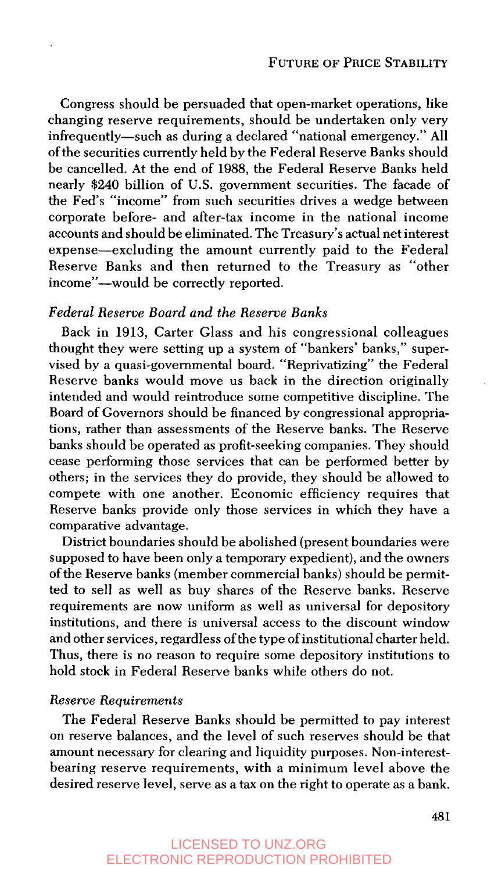Congress should be persuaded that open-market operations, like changing reserve requirements, should be undertaken only very infrequently-such as during a declared "national emergency." All of the securities currently held by the Federal Reserve Banks should be cancelled. At the end of 1988, the Federal Reserve Banks held nearly **\$240** billion of U.S. government securities. The facade of the Fed's "income" from such securities drives a wedge between corporate before- and after-tax income in the national income accounts and should be eliminated. The Treasury's actual net interest expense—excluding the amount currently paid to the Federal Reserve Banks and then returned to the Treasury as "other income"-would be correctly reported.

### *Federul Reserve Board and the Reserve Bunks*

Back in 1913, Carter Glass and his congressional colleagues thought they were setting up a system of "bankers' banks," supervised by a quasi-governmental board. "Reprivatizing" the Federal Reserve banks would move us back in the direction originally intended and would reintroduce some competitive discipline. The Board of Governors should be financed by congressional appropriations, rather than assessments of the Reserve banks. The Reserve banks should be operated as profit-seeking companies. They should cease performing those services that can be performed better by others; in the services they do provide, they should be allowed to compete with one another. Economic efficiency requires that Reserve banks provide only those services in which they have a comparative advantage.

District boundaries should be abolished (present boundaries were supposed to have been only a temporary expedient), and the owners of the Reserve banks (member commercial banks) should be permitted to sell as well as buy shares of the Reserve banks. Reserve requirements are now uniform as well as universal for depository institutions, and there is universal access to the discount window and other services, regardless of the type of institutional charter held. Thus, there is no reason to require some depository institutions to hold stock in Federal Reserve banks while others do not.

#### *Reserve Requirements*

The Federal Reserve Banks should be permitted to pay interest on reserve balances, and the level of such reserves should be that amount necessary for clearing and liquidity purposes. Non-interestbearing reserve requirements, with a minimum level above the desired reserve level, serve as a tax on the right to operate as a bank.

### LICENSED TO UNZ.ORG ELECTRONIC REPRODUCTION PROHIBITED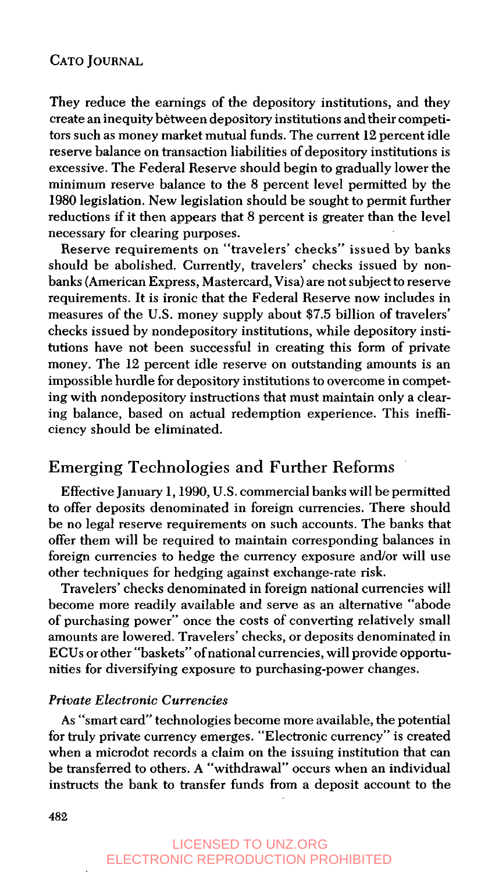They reduce the earnings of the depository institutions, and they create an inequity between depository institutions and their competitors such as money market mutual funds. The current 12 percent idle reserve balance on transaction liabilities of depository institutions is excessive. The Federal Reserve should begin to gradually lower the minimum reserve balance to the 8 percent level permitted by the 1980 legislation. New legislation should be sought to permit further reductions if it then appears that 8 percent is greater than the level necessary for clearing purposes.

Reserve requirements on "travelers' checks" issued by banks should be abolished. Currently, travelers' checks issued by nonbanks (American Express, Mastercard, Visa) are not subject to reserve requirements. It is ironic that the Federal Reserve now includes in measures of the U.S. money supply about \$7.5 billion of travelers' checks issued by nondepository institutions, while depository institutions have not been successful in creating this form of private money. The 12 percent idle reserve on outstanding amounts is an impossible hurdle for depository institutions to overcome in competing with nondepository instructions that must maintain only a clearing balance, based on actual redemption experience. This inefficiency should be eliminated.

## Emerging Technologies and Further Reforms

Effective January 1,1990, U.S. commercial banks will be permitted to offer deposits denominated in foreign currencies. There should be no legal reserve requirements on such accounts. The banks that offer them will be required to maintain corresponding balances in foreign currencies to hedge the currency exposure and/or will use other techniques for hedging against exchange-rate risk.

Travelers' checks denominated in foreign national currencies will become more readily available and serve as an alternative "abode of purchasing power" once the costs of converting relatively small amounts are lowered. Travelers' checks, or deposits denominated in ECUs or other "baskets" of national currencies, will provide opportunities for diversifying exposure to purchasing-power changes.

### *Private Electronic Currencies*

As "smart card" technologies become more available, the potential for truly private currency emerges. "Electronic currency" is created when a microdot records a claim on the issuing institution that can be transferred to others. A "withdrawal" occurs when an individual instructs the bank to transfer funds from a deposit account to the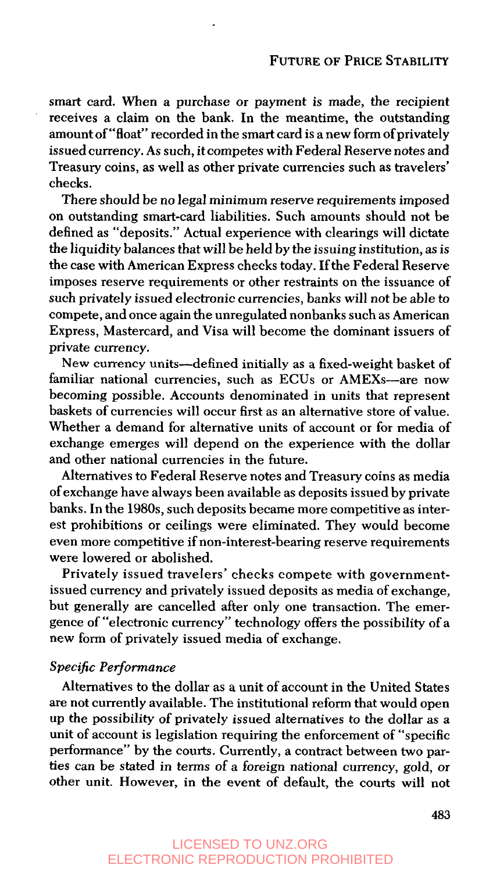smart card. When a purchase or payment *is* made, the recipient receives a claim on the bank. In the meantime, the outstanding amount of "float" recorded in the smart card is a new form of privately issued currency. As such, it competes with Federal Reserve notes and Treasury coins, as well as other private currencies such as travelers' checks.

There should be no legal minimum reserve requirements imposed on outstanding smart-card liabilities. Such amounts should not be defined as "deposits." Actual experience with clearings will dictate the liquidity balances that will be held by the issuing institution, as is the case with American Express checks today. If the Federal Reserve imposes reserve requirements or other restraints on the issuance of such privately issued electronic currencies, banks will not be able to compete, and once again the unregulated nonbanks such as American Express, Mastercard, and Visa will become the dominant issuers of private currency.

New currency units-defined initially as a fixed-weight basket of familiar national currencies, such as ECUs or AMEXs—are now becoming possible. Accounts denominated in units that represent baskets of currencies will occur first as an alternative store of value. Whether a demand for alternative units of account or for media of exchange emerges will depend on the experience with the dollar and other national currencies in the future.

Alternatives to Federal Reserve notes and Treasury coins as media of exchange have always been available as deposits issued by private banks. In the **1980s,** such deposits became more competitive as interest prohibitions or ceilings were eliminated. They would become even more competitive if non-interest-bearing reserve requirements were lowered or abolished.

Privately issued travelers' checks compete with governmentissued currency and privately issued deposits as media of exchange, but generally are cancelled after only one transaction. The emergence of "electronic currency" technology offers the possibility of a new form of privately issued media of exchange.

#### *Specijic Performance*

Alternatives to the dollar as **a** unit of account in the United States are not currently available. The institutional reform that would open up the possibility of privately issued alternatives to the dollar as a unit of account is legislation requiring the enforcement of "specific performance" by the courts. Currently, a contract between two parties can be stated in terms of a foreign national currency, gold, or other unit. However, in the event of default, the courts will not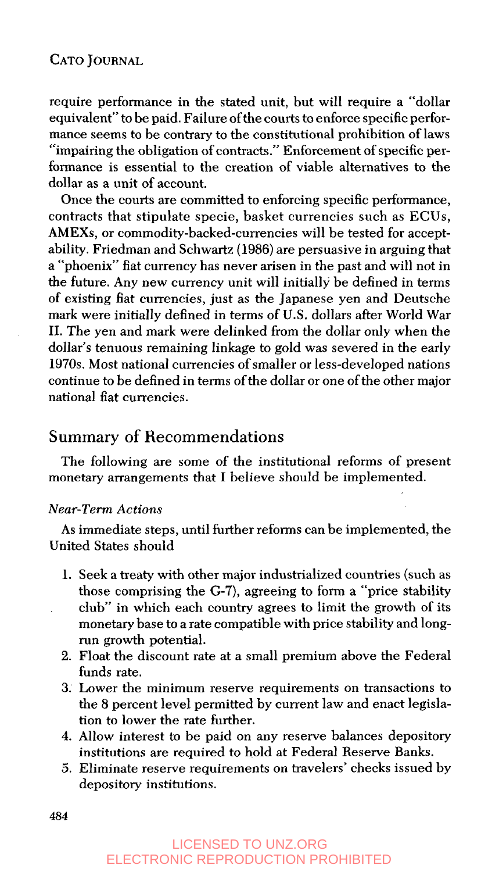require performance in the stated unit, but will require a "dollar equivalent" to be paid. Failure of the courts to enforce specific performance seems to be contrary to the constitutional prohibition of laws mance seems to be contrary to the constitutional prohibition of laws<br>"impairing the obligation of contracts." Enforcement of specific performance is essential to the creation of viable alternatives to the dollar as a unit of account.

Once the courts are committed to enforcing specific performance, contracts that stipulate specie, basket currencies such as ECUs, AMEXs, or commodity-backed-currencies will be tested for acceptability. Friedman and Schwartz (1986) are persuasive in arguing that a "phoenix" fiat currency has never arisen in the past and will not in the future. Any new currency unit will initially be defined in terms of existing fiat currencies, just as the Japanese yen and Deutsche mark were initially defined in terms of U.S. dollars after World War 11. The yen and mark were delinked from the dollar only when the dollar's tenuous remaining linkage to gold was severed in the early 1970s. Most national currencies of smaller or less-developed nations continue to be defined in terms of the dollar or one of the other major national fiat currencies.

## Summary of Recommendations

The following are some of the institutional reforms of present monetary arrangements that I believe should be implemented.

#### Near-Term Actions

United States should As immediate steps, until further reforms can be implemented, the

- 1. Seek a treaty with other major industrialized countries (such as those comprising the G-7), agreeing to form a "price stability club" in which each country agrees to limit the growth of its monetary base to a rate compatible with price stability and longrun growth potential.
- 2. Float the discount rate at a small premium above the Federal funds rate.
- **3:** Lower the minimum reserve requirements on transactions to the 8 percent level permitted by current law and enact legislation to lower the rate further.
- **4.** Allow interest to be paid on any reserve balances depository institutions are required to hold at Federal Reserve Banks.
- 5. Eliminate reserve requirements on travelers' checks issued by depository institutions.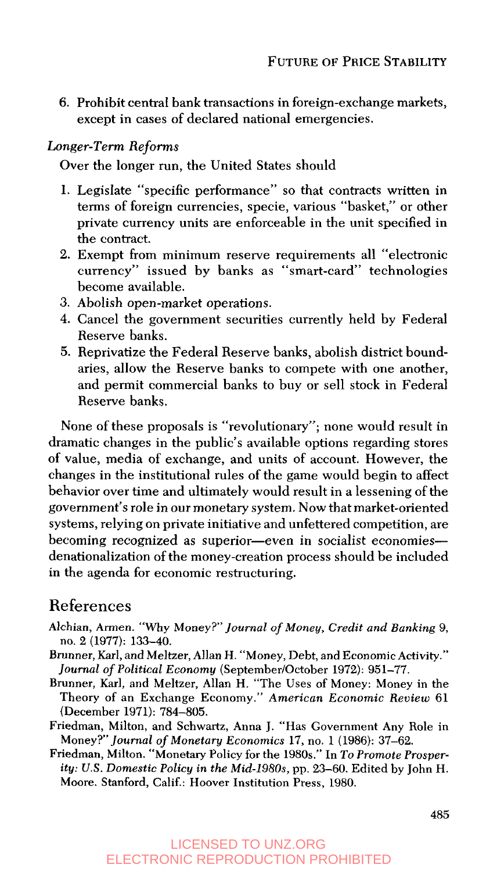6. Prohibit central bank transactions in foreign-exchange markets, except in cases of declared national emergencies.

## *Longer-Term Reforms*

Over the longer run, the United States should

- **1.** Legislate "specific performance" so that contracts written in terms of foreign currencies, specie, various "basket," or other private currency units are enforceable in the unit specified in the contract.
- **2.** Exempt from minimum reserve requirements all "electronic currency" issued by banks as "smart-card" technologies become available.
- *3.* Abolish open-market operations.
- **4.** Cancel the government securities currently held by Federal Reserve banks.
- *5.* Reprivatize the Federal Reserve banks, abolish district boundaries, allow the Reserve banks to compete with one another, and permit commercial banks to buy or sell stock in Federal Reserve banks.

None of these proposals is "revolutionary"; none would result in dramatic changes in the public's available options regarding stores of value, media of exchange, and units of account. However, the changes in the institutional rules of the game would begin to affect behavior over time and ultimately would result in a lessening of the government's role in our monetary system. Now that market-oriented systems, relying on private initiative and unfettered competition, are becoming recognized as superior-even in socialist economiesdenationalization of the money-creation process should be included in the agenda for economic restructuring.

## References

- Alchian, Armen. "Why Money?" Journal of Money, Credit and Banking 9, no. 2 (1977): 133-40.
- Brunner, Karl, and Meltzer, Allan H. "Money, Debt, and Economic Activity." Journal of Political Economy (September/October 1972): 951-77.
- Brunner, Karl, and Meltzer, Allan H. "The Uses of Money: Money in the Theory of an Exchange Economy." American Economic Review 61 (December 1971): 784-805.
- Friedman, Milton, and Schwartz, Anna J. "Has Government Any Role in Money?"Journal of Monetary Economics 17, no. 1 (1986): 37-62.
- Friedman, Milton. "Monetary Policy for the 1980s." In To Promote Prosperity: *US.* Domestic Policy in the Mid-1980s, pp. 23-60. Edited by John H. Moore. Stanford, Calif.: Hoover Institution Press, 1980.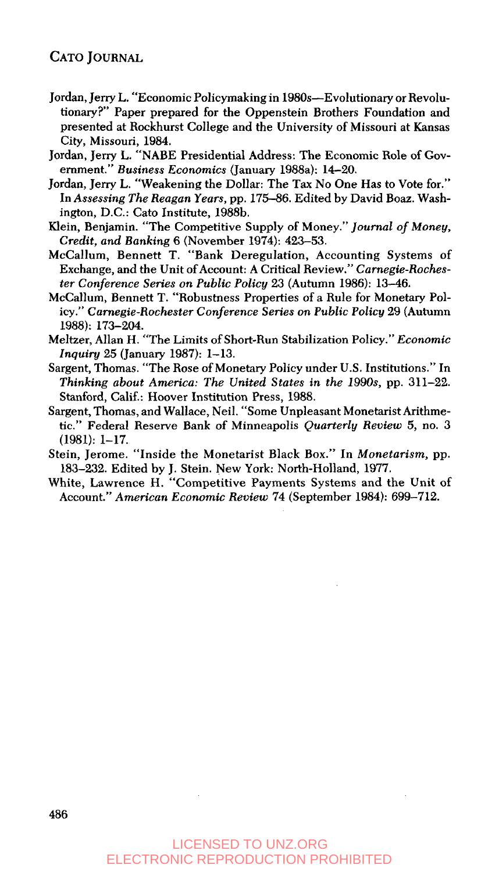- Jordan, Jerry L. "Economic Policymaking in 1980s—Evolutionary or Revolutionary?' Paper prepared for the Oppenstein Brothers Foundation and presented at Rockhurst College and the University of Missouri at Kansas City, Missouri, 1984.
- Jordan, Jerry L. "NABE Presidential Address: The Economic Role of Government." *Business Economics* (January 1988a): 14-20.
- Jordan, Jeny L. "Weakening the Dollar: The Tax No One Has to Vote for." In *Assessing The Reagan Years,* pp. 175-86. Edited by David Boaz. Washington, D.C.: Cat0 Institute, 1988b.
- Klein, Benjamin. "The Competitive Supply of Money." *Journal of Money, Credit, and Banking* 6 (November 1974): 423-53.
- McCallum, Bennett T. "Bank Deregulation, Accounting Systems of Exchange, and the Unit of Account: A Critical Review." *Carnegie-Rochester Conference Series on Public Policy* 23 (Autumn 1986): 13-46.
- McCallum, Bennett **T.** "Robustness Properties of a Rule for Monetary Policy." *Carnegie-Rochester Conference Series on Public Policy* 29 (Autumn 1988): 173-204.
- Meltzer, Allan H. "The Limits of Short-Run Stabilization Policy." *Economic Inquiry* 25 (January 1987): 1-13.
- Sargent, Thomas. "The Rose of Monetary Policy under U.S. Institutions." In *Thinking about America: The United States in the 1990s, pp. 311-22.* Stanford, Calif.: Hoover Institution Press, 1988.
- Sargent, Thomas, and Wallace, Neil. "Some Unpleasant Monetarist Arithmetic." Federal Reserve Bank of Minneapolis *Quarterly Review 5,* no. 3  $(1981): 1-17.$
- Stein, Jerome. "Inside the Monetarist Black Box." In *Monetarism,* pp. 183-232. Edited by J. Stein. New York: North-Holland, 1977.
- White, Lawrence H. "Competitive Payments Systems and the Unit of Account." *American Economic Review* 74 (September 1984): 699-712.

## LICENSED TO UNZ.ORG ELECTRONIC REPRODUCTION PROHIBITED